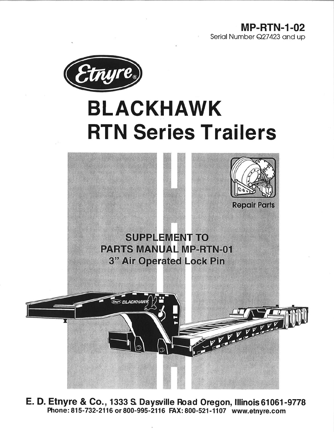**MP-RTN-1-02** Serial Number Q27423 and up



# **BLACKHAWK RTN Series Trailers**



E. D. Etnyre & Co., 1333 S. Daysville Road Oregon, Illinois 61061-9778 Phone: 815-732-2116 or 800-995-2116 FAX: 800-521-1107 www.etnyre.com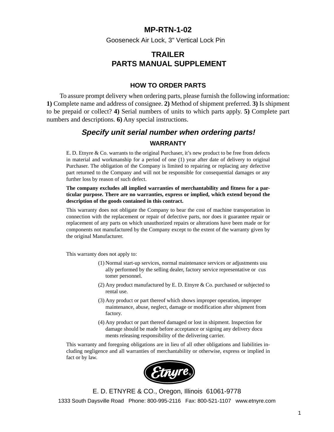#### **MP-RTN-1-02**

Gooseneck Air Lock, 3" Vertical Lock Pin

### **TRAILER PARTS MANUAL SUPPLEMENT**

#### **HOW TO ORDER PARTS**

To assure prompt delivery when ordering parts, please furnish the following information: **1)** Complete name and address of consignee. **2)** Method of shipment preferred. **3)** Is shipment to be prepaid or collect? **4)** Serial numbers of units to which parts apply. **5)** Complete part numbers and descriptions. **6)** Any special instructions.

## **Specify unit serial number when ordering parts! WARRANTY**

E. D. Etnyre & Co. warrants to the original Purchaser, it's new product to be free from defects in material and workmanship for a period of one (1) year after date of delivery to original Purchaser. The obligation of the Company is limited to repairing or replacing any defective part returned to the Company and will not be responsible for consequential damages or any further loss by reason of such defect.

**The company excludes all implied warranties of merchantability and fitness for a particular purpose. There are no warranties, express or implied, which extend beyond the description of the goods contained in this contract.**

This warranty does not obligate the Company to bear the cost of machine transportation in connection with the replacement or repair of defective parts, nor does it guarantee repair or replacement of any parts on which unauthorized repairs or alterations have been made or for components not manufactured by the Company except to the extent of the warranty given by the original Manufacturer.

This warranty does not apply to:

- (1) Normal start-up services, normal maintenance services or adjustments usu ally performed by the selling dealer, factory service representative or cus tomer personnel.
- (2) Any product manufactured by E. D. Etnyre & Co. purchased or subjected to rental use.
- (3) Any product or part thereof which shows improper operation, improper maintenance, abuse, neglect, damage or modification after shipment from factory.
- (4) Any product or part thereof damaged or lost in shipment. Inspection for damage should be made before acceptance or signing any delivery docu ments releasing responsibility of the delivering carrier.

This warranty and foregoing obligations are in lieu of all other obligations and liabilities including negligence and all warranties of merchantability or otherwise, express or implied in fact or by law.



E. D. ETNYRE & CO., Oregon, Illinois 61061-9778 1333 South Daysville Road Phone: 800-995-2116 Fax: 800-521-1107 www.etnyre.com